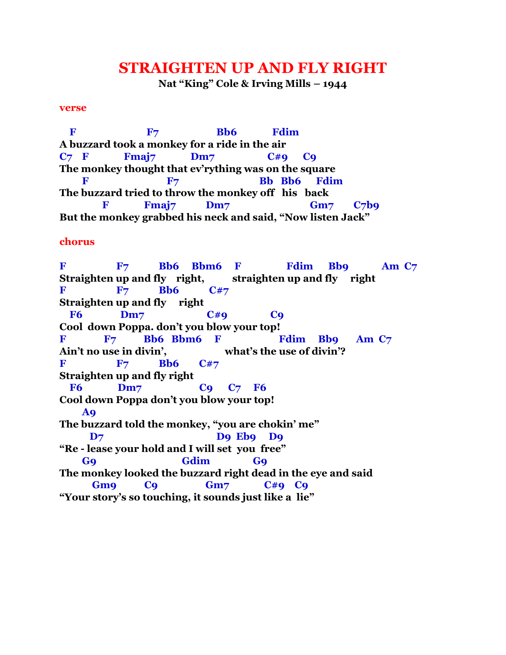## **STRAIGHTEN UP AND FLY RIGHT**

**Nat "King" Cole & Irving Mills – 1944**

## **verse**

**F** F<sub>7</sub> Bb6 Fdim **A buzzard took a monkey for a ride in the air C7 F Fmaj7 Dm7 C#9 C9 The monkey thought that ev'rything was on the square** F F7 Bb Bb6 Fdim **The buzzard tried to throw the monkey off his back F** Fmaj7 Dm7 Gm7 C7b9 **But the monkey grabbed his neck and said, "Now listen Jack"**

## **chorus**

**F F7 Bb6 Bbm6 F Fdim Bb9 Am C7 Straighten up and fly right, straighten up and fly right F** F<sub>7</sub> **Bb6** C#7 **Straighten up and fly right F6 Dm7 C#9 C9 Cool down Poppa. don't you blow your top!** F F7 Bb6 Bbm6 F Fdim Bb9 Am C7 **Ain't no use in divin', what's the use of divin'? F** F<sub>7</sub> Bb6 C#7 **Straighten up and fly right F6 Dm7 C9 C7 F6 Cool down Poppa don't you blow your top! A9 The buzzard told the monkey, "you are chokin' me" D7 D9 Eb9 D9 "Re - lease your hold and I will set you free" G9 Gdim G9 The monkey looked the buzzard right dead in the eye and said Gm9 C9 Gm7 C#9 C9 "Your story's so touching, it sounds just like a lie"**